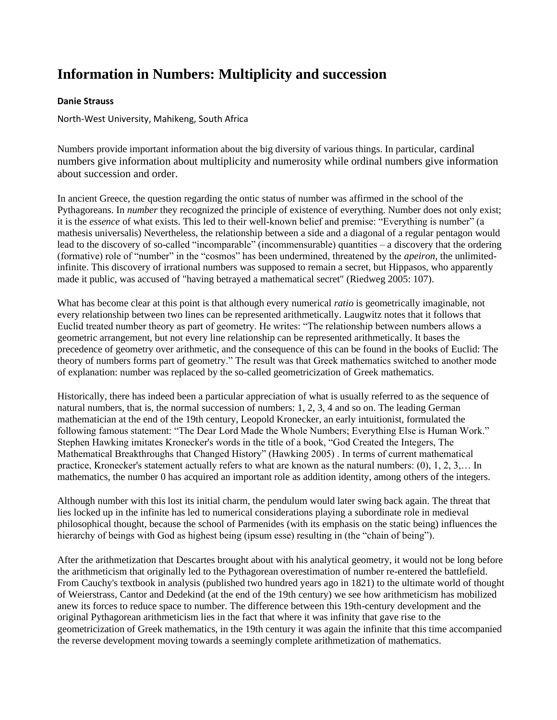## **Information in Numbers: Multiplicity and succession**

## **Danie Strauss**

North-West University, Mahikeng, South Africa

Numbers provide important information about the big diversity of various things. In particular, cardinal numbers give information about multiplicity and numerosity while ordinal numbers give information about succession and order.

In ancient Greece, the question regarding the ontic status of number was affirmed in the school of the Pythagoreans. In *number* they recognized the principle of existence of everything. Number does not only exist; it is the *essence* of what exists. This led to their well-known belief and premise: "Everything is number" (a mathesis universalis) Nevertheless, the relationship between a side and a diagonal of a regular pentagon would lead to the discovery of so-called "incomparable" (incommensurable) quantities – a discovery that the ordering (formative) role of "number" in the "cosmos" has been undermined, threatened by the *apeiron*, the unlimitedinfinite. This discovery of irrational numbers was supposed to remain a secret, but Hippasos, who apparently made it public, was accused of "having betrayed a mathematical secret" (Riedweg 2005: 107).

What has become clear at this point is that although every numerical *ratio* is geometrically imaginable, not every relationship between two lines can be represented arithmetically. Laugwitz notes that it follows that Euclid treated number theory as part of geometry. He writes: "The relationship between numbers allows a geometric arrangement, but not every line relationship can be represented arithmetically. It bases the precedence of geometry over arithmetic, and the consequence of this can be found in the books of Euclid: The theory of numbers forms part of geometry." The result was that Greek mathematics switched to another mode of explanation: number was replaced by the so-called geometricization of Greek mathematics.

Historically, there has indeed been a particular appreciation of what is usually referred to as the sequence of natural numbers, that is, the normal succession of numbers: 1, 2, 3, 4 and so on. The leading German mathematician at the end of the 19th century, Leopold Kronecker, an early intuitionist, formulated the following famous statement: "The Dear Lord Made the Whole Numbers; Everything Else is Human Work." Stephen Hawking imitates Kronecker's words in the title of a book, "God Created the Integers, The Mathematical Breakthroughs that Changed History" (Hawking 2005) . In terms of current mathematical practice, Kronecker's statement actually refers to what are known as the natural numbers: (0), 1, 2, 3,… In mathematics, the number 0 has acquired an important role as addition identity, among others of the integers.

Although number with this lost its initial charm, the pendulum would later swing back again. The threat that lies locked up in the infinite has led to numerical considerations playing a subordinate role in medieval philosophical thought, because the school of Parmenides (with its emphasis on the static being) influences the hierarchy of beings with God as highest being (ipsum esse) resulting in (the "chain of being").

After the arithmetization that Descartes brought about with his analytical geometry, it would not be long before the arithmeticism that originally led to the Pythagorean overestimation of number re-entered the battlefield. From Cauchy's textbook in analysis (published two hundred years ago in 1821) to the ultimate world of thought of Weierstrass, Cantor and Dedekind (at the end of the 19th century) we see how arithmeticism has mobilized anew its forces to reduce space to number. The difference between this 19th-century development and the original Pythagorean arithmeticism lies in the fact that where it was infinity that gave rise to the geometricization of Greek mathematics, in the 19th century it was again the infinite that this time accompanied the reverse development moving towards a seemingly complete arithmetization of mathematics.